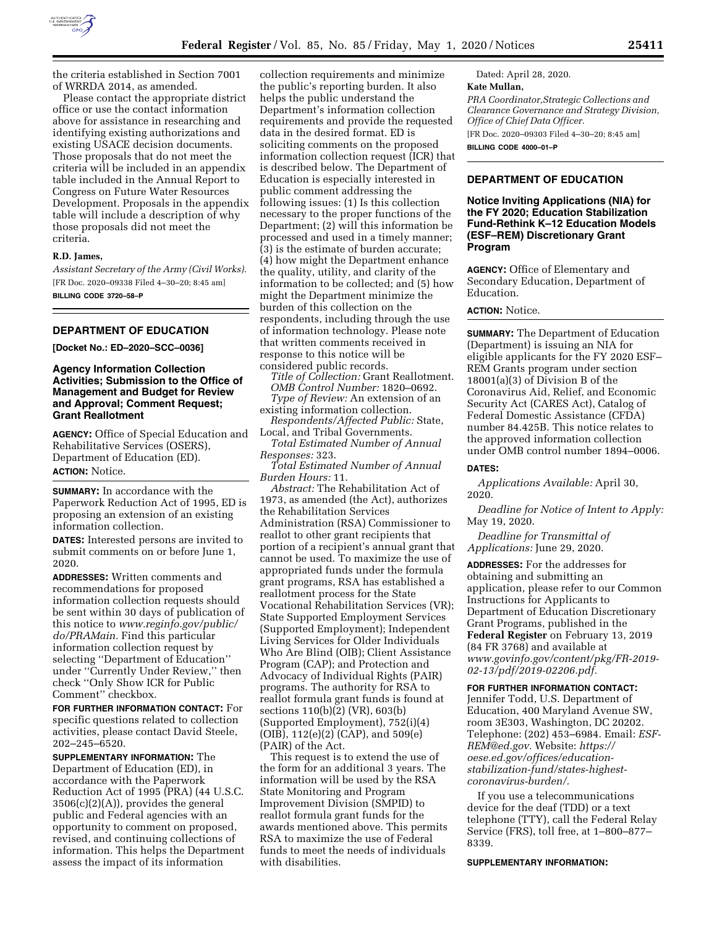

the criteria established in Section 7001 of WRRDA 2014, as amended.

Please contact the appropriate district office or use the contact information above for assistance in researching and identifying existing authorizations and existing USACE decision documents. Those proposals that do not meet the criteria will be included in an appendix table included in the Annual Report to Congress on Future Water Resources Development. Proposals in the appendix table will include a description of why those proposals did not meet the criteria.

## **R.D. James,**

*Assistant Secretary of the Army (Civil Works).*  [FR Doc. 2020–09338 Filed 4–30–20; 8:45 am] **BILLING CODE 3720–58–P** 

### **DEPARTMENT OF EDUCATION**

**[Docket No.: ED–2020–SCC–0036]** 

### **Agency Information Collection Activities; Submission to the Office of Management and Budget for Review and Approval; Comment Request; Grant Reallotment**

**AGENCY:** Office of Special Education and Rehabilitative Services (OSERS), Department of Education (ED). **ACTION:** Notice.

**SUMMARY:** In accordance with the Paperwork Reduction Act of 1995, ED is proposing an extension of an existing information collection.

**DATES:** Interested persons are invited to submit comments on or before June 1, 2020.

**ADDRESSES:** Written comments and recommendations for proposed information collection requests should be sent within 30 days of publication of this notice to *[www.reginfo.gov/public/](http://www.reginfo.gov/public/do/PRAMain) [do/PRAMain.](http://www.reginfo.gov/public/do/PRAMain)* Find this particular information collection request by selecting ''Department of Education'' under ''Currently Under Review,'' then check ''Only Show ICR for Public Comment'' checkbox.

**FOR FURTHER INFORMATION CONTACT:** For specific questions related to collection activities, please contact David Steele, 202–245–6520.

**SUPPLEMENTARY INFORMATION:** The Department of Education (ED), in accordance with the Paperwork Reduction Act of 1995 (PRA) (44 U.S.C. 3506(c)(2)(A)), provides the general public and Federal agencies with an opportunity to comment on proposed, revised, and continuing collections of information. This helps the Department assess the impact of its information

collection requirements and minimize the public's reporting burden. It also helps the public understand the Department's information collection requirements and provide the requested data in the desired format. ED is soliciting comments on the proposed information collection request (ICR) that is described below. The Department of Education is especially interested in public comment addressing the following issues: (1) Is this collection necessary to the proper functions of the Department; (2) will this information be processed and used in a timely manner; (3) is the estimate of burden accurate; (4) how might the Department enhance the quality, utility, and clarity of the information to be collected; and (5) how might the Department minimize the burden of this collection on the respondents, including through the use of information technology. Please note that written comments received in response to this notice will be considered public records.

*Title of Collection:* Grant Reallotment. *OMB Control Number:* 1820–0692. *Type of Review:* An extension of an existing information collection.

*Respondents/Affected Public:* State, Local, and Tribal Governments.

*Total Estimated Number of Annual Responses:* 323.

*Total Estimated Number of Annual Burden Hours:* 11.

*Abstract:* The Rehabilitation Act of 1973, as amended (the Act), authorizes the Rehabilitation Services Administration (RSA) Commissioner to reallot to other grant recipients that portion of a recipient's annual grant that cannot be used. To maximize the use of appropriated funds under the formula grant programs, RSA has established a reallotment process for the State Vocational Rehabilitation Services (VR); State Supported Employment Services (Supported Employment); Independent Living Services for Older Individuals Who Are Blind (OIB); Client Assistance Program (CAP); and Protection and Advocacy of Individual Rights (PAIR) programs. The authority for RSA to reallot formula grant funds is found at sections 110(b)(2) (VR), 603(b) (Supported Employment), 752(i)(4) (OIB), 112(e)(2) (CAP), and 509(e) (PAIR) of the Act.

This request is to extend the use of the form for an additional 3 years. The information will be used by the RSA State Monitoring and Program Improvement Division (SMPID) to reallot formula grant funds for the awards mentioned above. This permits RSA to maximize the use of Federal funds to meet the needs of individuals with disabilities.

Dated: April 28, 2020. **Kate Mullan,**  *PRA Coordinator,Strategic Collections and Clearance Governance and Strategy Division, Office of Chief Data Officer.*  [FR Doc. 2020–09303 Filed 4–30–20; 8:45 am] **BILLING CODE 4000–01–P** 

### **DEPARTMENT OF EDUCATION**

**Notice Inviting Applications (NIA) for the FY 2020; Education Stabilization Fund-Rethink K–12 Education Models (ESF–REM) Discretionary Grant Program** 

**AGENCY:** Office of Elementary and Secondary Education, Department of Education.

# **ACTION:** Notice.

**SUMMARY:** The Department of Education (Department) is issuing an NIA for eligible applicants for the FY 2020 ESF– REM Grants program under section 18001(a)(3) of Division B of the Coronavirus Aid, Relief, and Economic Security Act (CARES Act), Catalog of Federal Domestic Assistance (CFDA) number 84.425B. This notice relates to the approved information collection under OMB control number 1894–0006.

#### **DATES:**

*Applications Available:* April 30, 2020.

*Deadline for Notice of Intent to Apply:*  May 19, 2020.

*Deadline for Transmittal of Applications:* June 29, 2020.

**ADDRESSES:** For the addresses for obtaining and submitting an application, please refer to our Common Instructions for Applicants to Department of Education Discretionary Grant Programs, published in the **Federal Register** on February 13, 2019 (84 FR 3768) and available at *[www.govinfo.gov/content/pkg/FR-2019-](http://www.govinfo.gov/content/pkg/FR-2019-02-13/pdf/2019-02206.pdf) [02-13/pdf/2019-02206.pdf.](http://www.govinfo.gov/content/pkg/FR-2019-02-13/pdf/2019-02206.pdf)* 

#### **FOR FURTHER INFORMATION CONTACT:**

Jennifer Todd, U.S. Department of Education, 400 Maryland Avenue SW, room 3E303, Washington, DC 20202. Telephone: (202) 453–6984. Email: *[ESF-](mailto:ESF-REM@ed.gov)[REM@ed.gov.](mailto:ESF-REM@ed.gov)* Website: *[https://](https://oese.ed.gov/offices/education-stabilization-fund/states-highest-coronavirus-burden/) [oese.ed.gov/offices/education](https://oese.ed.gov/offices/education-stabilization-fund/states-highest-coronavirus-burden/)[stabilization-fund/states-highest](https://oese.ed.gov/offices/education-stabilization-fund/states-highest-coronavirus-burden/)[coronavirus-burden/](https://oese.ed.gov/offices/education-stabilization-fund/states-highest-coronavirus-burden/).* 

If you use a telecommunications device for the deaf (TDD) or a text telephone (TTY), call the Federal Relay Service (FRS), toll free, at 1–800–877– 8339.

#### **SUPPLEMENTARY INFORMATION:**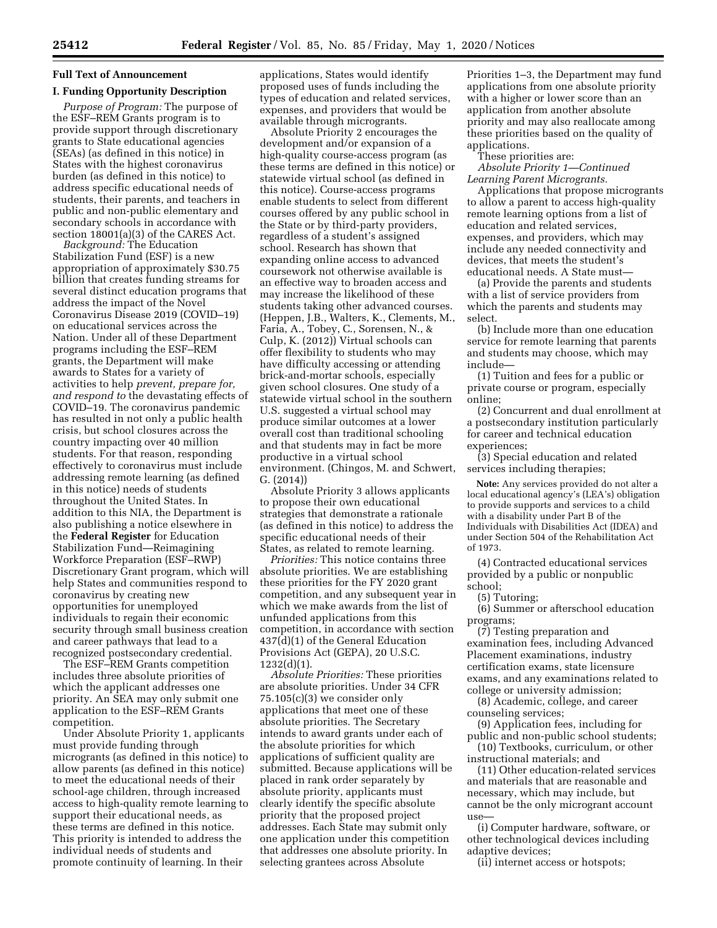# **Full Text of Announcement**

## **I. Funding Opportunity Description**

*Purpose of Program:* The purpose of the ESF–REM Grants program is to provide support through discretionary grants to State educational agencies (SEAs) (as defined in this notice) in States with the highest coronavirus burden (as defined in this notice) to address specific educational needs of students, their parents, and teachers in public and non-public elementary and secondary schools in accordance with section 18001(a)(3) of the CARES Act.

*Background:* The Education Stabilization Fund (ESF) is a new appropriation of approximately \$30.75 billion that creates funding streams for several distinct education programs that address the impact of the Novel Coronavirus Disease 2019 (COVID–19) on educational services across the Nation. Under all of these Department programs including the ESF–REM grants, the Department will make awards to States for a variety of activities to help *prevent, prepare for, and respond to* the devastating effects of COVID–19. The coronavirus pandemic has resulted in not only a public health crisis, but school closures across the country impacting over 40 million students. For that reason, responding effectively to coronavirus must include addressing remote learning (as defined in this notice) needs of students throughout the United States. In addition to this NIA, the Department is also publishing a notice elsewhere in the **Federal Register** for Education Stabilization Fund—Reimagining Workforce Preparation (ESF–RWP) Discretionary Grant program, which will help States and communities respond to coronavirus by creating new opportunities for unemployed individuals to regain their economic security through small business creation and career pathways that lead to a recognized postsecondary credential.

The ESF–REM Grants competition includes three absolute priorities of which the applicant addresses one priority. An SEA may only submit one application to the ESF–REM Grants competition.

Under Absolute Priority 1, applicants must provide funding through microgrants (as defined in this notice) to allow parents (as defined in this notice) to meet the educational needs of their school-age children, through increased access to high-quality remote learning to support their educational needs, as these terms are defined in this notice. This priority is intended to address the individual needs of students and promote continuity of learning. In their

applications, States would identify proposed uses of funds including the types of education and related services, expenses, and providers that would be available through microgrants.

Absolute Priority 2 encourages the development and/or expansion of a high-quality course-access program (as these terms are defined in this notice) or statewide virtual school (as defined in this notice). Course-access programs enable students to select from different courses offered by any public school in the State or by third-party providers, regardless of a student's assigned school. Research has shown that expanding online access to advanced coursework not otherwise available is an effective way to broaden access and may increase the likelihood of these students taking other advanced courses. (Heppen, J.B., Walters, K., Clements, M., Faria, A., Tobey, C., Sorensen, N., & Culp, K. (2012)) Virtual schools can offer flexibility to students who may have difficulty accessing or attending brick-and-mortar schools, especially given school closures. One study of a statewide virtual school in the southern U.S. suggested a virtual school may produce similar outcomes at a lower overall cost than traditional schooling and that students may in fact be more productive in a virtual school environment. (Chingos, M. and Schwert, G. (2014))

Absolute Priority 3 allows applicants to propose their own educational strategies that demonstrate a rationale (as defined in this notice) to address the specific educational needs of their States, as related to remote learning.

*Priorities:* This notice contains three absolute priorities. We are establishing these priorities for the FY 2020 grant competition, and any subsequent year in which we make awards from the list of unfunded applications from this competition, in accordance with section 437(d)(1) of the General Education Provisions Act (GEPA), 20 U.S.C. 1232(d)(1).

*Absolute Priorities:* These priorities are absolute priorities. Under 34 CFR 75.105(c)(3) we consider only applications that meet one of these absolute priorities. The Secretary intends to award grants under each of the absolute priorities for which applications of sufficient quality are submitted. Because applications will be placed in rank order separately by absolute priority, applicants must clearly identify the specific absolute priority that the proposed project addresses. Each State may submit only one application under this competition that addresses one absolute priority. In selecting grantees across Absolute

Priorities 1–3, the Department may fund applications from one absolute priority with a higher or lower score than an application from another absolute priority and may also reallocate among these priorities based on the quality of applications.

These priorities are:

*Absolute Priority 1—Continued Learning Parent Microgrants.* 

Applications that propose microgrants to allow a parent to access high-quality remote learning options from a list of education and related services, expenses, and providers, which may include any needed connectivity and devices, that meets the student's educational needs. A State must—

(a) Provide the parents and students with a list of service providers from which the parents and students may select.

(b) Include more than one education service for remote learning that parents and students may choose, which may include—

(1) Tuition and fees for a public or private course or program, especially online;

(2) Concurrent and dual enrollment at a postsecondary institution particularly for career and technical education experiences;

(3) Special education and related services including therapies;

**Note:** Any services provided do not alter a local educational agency's (LEA's) obligation to provide supports and services to a child with a disability under Part B of the Individuals with Disabilities Act (IDEA) and under Section 504 of the Rehabilitation Act of 1973.

(4) Contracted educational services provided by a public or nonpublic school;

(5) Tutoring;

(6) Summer or afterschool education programs;

(7) Testing preparation and examination fees, including Advanced Placement examinations, industry certification exams, state licensure exams, and any examinations related to college or university admission;

(8) Academic, college, and career counseling services;

(9) Application fees, including for public and non-public school students; (10) Textbooks, curriculum, or other

instructional materials; and (11) Other education-related services and materials that are reasonable and necessary, which may include, but cannot be the only microgrant account use—

(i) Computer hardware, software, or other technological devices including adaptive devices;

(ii) internet access or hotspots;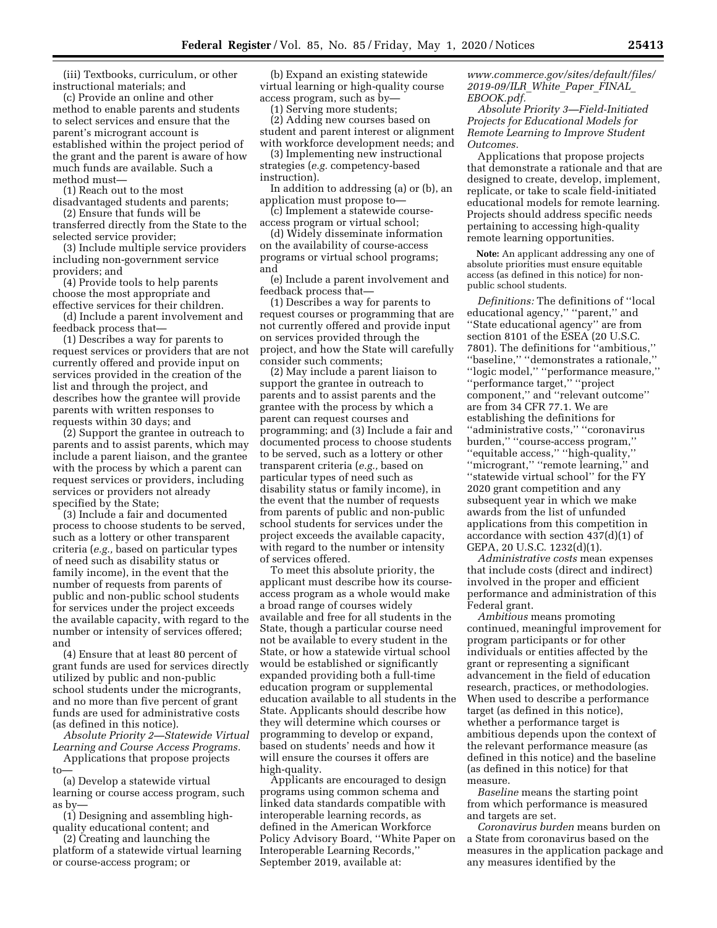(iii) Textbooks, curriculum, or other instructional materials; and

(c) Provide an online and other method to enable parents and students to select services and ensure that the parent's microgrant account is established within the project period of the grant and the parent is aware of how much funds are available. Such a method must—

(1) Reach out to the most

disadvantaged students and parents; (2) Ensure that funds will be

transferred directly from the State to the selected service provider;

(3) Include multiple service providers including non-government service providers; and

(4) Provide tools to help parents choose the most appropriate and effective services for their children.

(d) Include a parent involvement and feedback process that—

(1) Describes a way for parents to request services or providers that are not currently offered and provide input on services provided in the creation of the list and through the project, and describes how the grantee will provide parents with written responses to requests within 30 days; and

(2) Support the grantee in outreach to parents and to assist parents, which may include a parent liaison, and the grantee with the process by which a parent can request services or providers, including services or providers not already specified by the State;

(3) Include a fair and documented process to choose students to be served, such as a lottery or other transparent criteria (*e.g.,* based on particular types of need such as disability status or family income), in the event that the number of requests from parents of public and non-public school students for services under the project exceeds the available capacity, with regard to the number or intensity of services offered; and

(4) Ensure that at least 80 percent of grant funds are used for services directly utilized by public and non-public school students under the microgrants, and no more than five percent of grant funds are used for administrative costs (as defined in this notice).

*Absolute Priority 2—Statewide Virtual Learning and Course Access Programs.*  Applications that propose projects

to— (a) Develop a statewide virtual

learning or course access program, such as by—

(1) Designing and assembling highquality educational content; and

(2) Creating and launching the platform of a statewide virtual learning or course-access program; or

(b) Expand an existing statewide virtual learning or high-quality course access program, such as by—

(1) Serving more students;

(2) Adding new courses based on student and parent interest or alignment with workforce development needs; and

(3) Implementing new instructional strategies (*e.g.* competency-based instruction).

In addition to addressing (a) or (b), an application must propose to—

(c) Implement a statewide courseaccess program or virtual school;

(d) Widely disseminate information on the availability of course-access programs or virtual school programs; and

(e) Include a parent involvement and feedback process that—

(1) Describes a way for parents to request courses or programming that are not currently offered and provide input on services provided through the project, and how the State will carefully consider such comments;

(2) May include a parent liaison to support the grantee in outreach to parents and to assist parents and the grantee with the process by which a parent can request courses and programming; and (3) Include a fair and documented process to choose students to be served, such as a lottery or other transparent criteria (*e.g.,* based on particular types of need such as disability status or family income), in the event that the number of requests from parents of public and non-public school students for services under the project exceeds the available capacity, with regard to the number or intensity of services offered.

To meet this absolute priority, the applicant must describe how its courseaccess program as a whole would make a broad range of courses widely available and free for all students in the State, though a particular course need not be available to every student in the State, or how a statewide virtual school would be established or significantly expanded providing both a full-time education program or supplemental education available to all students in the State. Applicants should describe how they will determine which courses or programming to develop or expand, based on students' needs and how it will ensure the courses it offers are high-quality.

Applicants are encouraged to design programs using common schema and linked data standards compatible with interoperable learning records, as defined in the American Workforce Policy Advisory Board, ''White Paper on Interoperable Learning Records,'' September 2019, available at:

*[www.commerce.gov/sites/default/files/](http://www.commerce.gov/sites/default/files/2019-09/ILR_White_Paper_FINAL_EBOOK.pdf) [2019-09/ILR](http://www.sec.gov/rules/sro.shtml)*\_*White*\_*Paper*\_*FINAL*\_ *[EBOOK.pdf.](http://www.sec.gov/rules/sro.shtml)* 

*Absolute Priority 3—Field-Initiated Projects for Educational Models for Remote Learning to Improve Student Outcomes.* 

Applications that propose projects that demonstrate a rationale and that are designed to create, develop, implement, replicate, or take to scale field-initiated educational models for remote learning. Projects should address specific needs pertaining to accessing high-quality remote learning opportunities.

**Note:** An applicant addressing any one of absolute priorities must ensure equitable access (as defined in this notice) for nonpublic school students.

*Definitions:* The definitions of ''local educational agency,'' ''parent,'' and ''State educational agency'' are from section 8101 of the ESEA (20 U.S.C. 7801). The definitions for ''ambitious,'' ''baseline,'' ''demonstrates a rationale,'' ''logic model,'' ''performance measure,'' ''performance target,'' ''project component,'' and ''relevant outcome'' are from 34 CFR 77.1. We are establishing the definitions for ''administrative costs,'' ''coronavirus burden,'' ''course-access program,'' ''equitable access,'' ''high-quality,'' ''microgrant,'' ''remote learning,'' and ''statewide virtual school'' for the FY 2020 grant competition and any subsequent year in which we make awards from the list of unfunded applications from this competition in accordance with section 437(d)(1) of GEPA, 20 U.S.C. 1232(d)(1).

*Administrative costs* mean expenses that include costs (direct and indirect) involved in the proper and efficient performance and administration of this Federal grant.

*Ambitious* means promoting continued, meaningful improvement for program participants or for other individuals or entities affected by the grant or representing a significant advancement in the field of education research, practices, or methodologies. When used to describe a performance target (as defined in this notice), whether a performance target is ambitious depends upon the context of the relevant performance measure (as defined in this notice) and the baseline (as defined in this notice) for that measure.

*Baseline* means the starting point from which performance is measured and targets are set.

*Coronavirus burden* means burden on a State from coronavirus based on the measures in the application package and any measures identified by the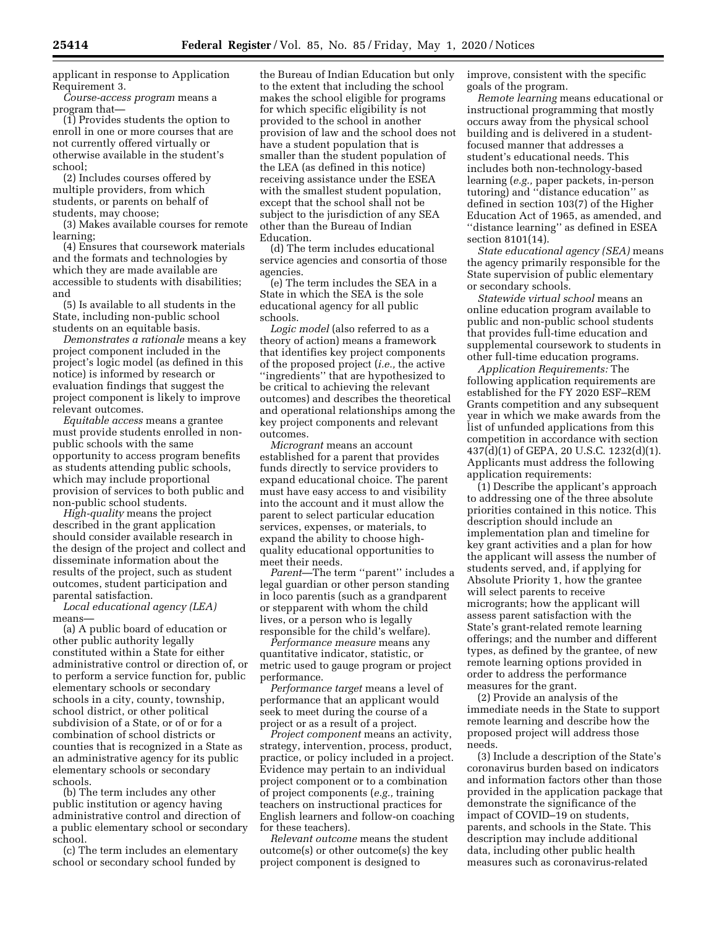applicant in response to Application Requirement 3.

*Course-access program* means a program that—

(1) Provides students the option to enroll in one or more courses that are not currently offered virtually or otherwise available in the student's school;

(2) Includes courses offered by multiple providers, from which students, or parents on behalf of students, may choose;

(3) Makes available courses for remote learning;

(4) Ensures that coursework materials and the formats and technologies by which they are made available are accessible to students with disabilities; and

(5) Is available to all students in the State, including non-public school students on an equitable basis.

*Demonstrates a rationale* means a key project component included in the project's logic model (as defined in this notice) is informed by research or evaluation findings that suggest the project component is likely to improve relevant outcomes.

*Equitable access* means a grantee must provide students enrolled in nonpublic schools with the same opportunity to access program benefits as students attending public schools, which may include proportional provision of services to both public and non-public school students.

*High-quality* means the project described in the grant application should consider available research in the design of the project and collect and disseminate information about the results of the project, such as student outcomes, student participation and parental satisfaction.

*Local educational agency (LEA)*  means—

(a) A public board of education or other public authority legally constituted within a State for either administrative control or direction of, or to perform a service function for, public elementary schools or secondary schools in a city, county, township, school district, or other political subdivision of a State, or of or for a combination of school districts or counties that is recognized in a State as an administrative agency for its public elementary schools or secondary schools.

(b) The term includes any other public institution or agency having administrative control and direction of a public elementary school or secondary school.

(c) The term includes an elementary school or secondary school funded by

the Bureau of Indian Education but only to the extent that including the school makes the school eligible for programs for which specific eligibility is not provided to the school in another provision of law and the school does not have a student population that is smaller than the student population of the LEA (as defined in this notice) receiving assistance under the ESEA with the smallest student population, except that the school shall not be subject to the jurisdiction of any SEA other than the Bureau of Indian Education.

(d) The term includes educational service agencies and consortia of those agencies.

(e) The term includes the SEA in a State in which the SEA is the sole educational agency for all public schools.

*Logic model* (also referred to as a theory of action) means a framework that identifies key project components of the proposed project (*i.e.,* the active ''ingredients'' that are hypothesized to be critical to achieving the relevant outcomes) and describes the theoretical and operational relationships among the key project components and relevant outcomes.

*Microgrant* means an account established for a parent that provides funds directly to service providers to expand educational choice. The parent must have easy access to and visibility into the account and it must allow the parent to select particular education services, expenses, or materials, to expand the ability to choose highquality educational opportunities to meet their needs.

Parent-The term "parent" includes a legal guardian or other person standing in loco parentis (such as a grandparent or stepparent with whom the child lives, or a person who is legally responsible for the child's welfare).

*Performance measure* means any quantitative indicator, statistic, or metric used to gauge program or project performance.

*Performance target* means a level of performance that an applicant would seek to meet during the course of a project or as a result of a project.

*Project component* means an activity, strategy, intervention, process, product, practice, or policy included in a project. Evidence may pertain to an individual project component or to a combination of project components (*e.g.,* training teachers on instructional practices for English learners and follow-on coaching for these teachers).

*Relevant outcome* means the student outcome(s) or other outcome(s) the key project component is designed to

improve, consistent with the specific goals of the program.

*Remote learning* means educational or instructional programming that mostly occurs away from the physical school building and is delivered in a studentfocused manner that addresses a student's educational needs. This includes both non-technology-based learning (*e.g.,* paper packets, in-person tutoring) and ''distance education'' as defined in section 103(7) of the Higher Education Act of 1965, as amended, and ''distance learning'' as defined in ESEA section 8101(14).

*State educational agency (SEA)* means the agency primarily responsible for the State supervision of public elementary or secondary schools.

*Statewide virtual school* means an online education program available to public and non-public school students that provides full-time education and supplemental coursework to students in other full-time education programs.

*Application Requirements:* The following application requirements are established for the FY 2020 ESF–REM Grants competition and any subsequent year in which we make awards from the list of unfunded applications from this competition in accordance with section 437(d)(1) of GEPA, 20 U.S.C. 1232(d)(1). Applicants must address the following application requirements:

(1) Describe the applicant's approach to addressing one of the three absolute priorities contained in this notice. This description should include an implementation plan and timeline for key grant activities and a plan for how the applicant will assess the number of students served, and, if applying for Absolute Priority 1, how the grantee will select parents to receive microgrants; how the applicant will assess parent satisfaction with the State's grant-related remote learning offerings; and the number and different types, as defined by the grantee, of new remote learning options provided in order to address the performance measures for the grant.

(2) Provide an analysis of the immediate needs in the State to support remote learning and describe how the proposed project will address those needs.

(3) Include a description of the State's coronavirus burden based on indicators and information factors other than those provided in the application package that demonstrate the significance of the impact of COVID–19 on students, parents, and schools in the State. This description may include additional data, including other public health measures such as coronavirus-related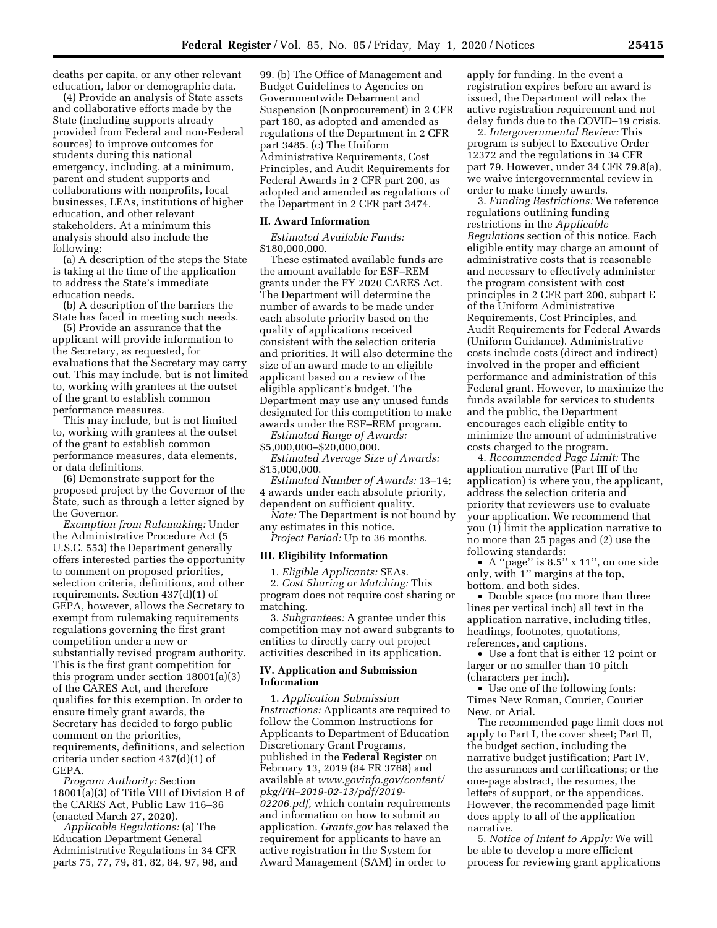deaths per capita, or any other relevant education, labor or demographic data.

(4) Provide an analysis of State assets and collaborative efforts made by the State (including supports already provided from Federal and non-Federal sources) to improve outcomes for students during this national emergency, including, at a minimum, parent and student supports and collaborations with nonprofits, local businesses, LEAs, institutions of higher education, and other relevant stakeholders. At a minimum this analysis should also include the following:

(a) A description of the steps the State is taking at the time of the application to address the State's immediate education needs.

(b) A description of the barriers the State has faced in meeting such needs.

(5) Provide an assurance that the applicant will provide information to the Secretary, as requested, for evaluations that the Secretary may carry out. This may include, but is not limited to, working with grantees at the outset of the grant to establish common performance measures.

This may include, but is not limited to, working with grantees at the outset of the grant to establish common performance measures, data elements, or data definitions.

(6) Demonstrate support for the proposed project by the Governor of the State, such as through a letter signed by the Governor.

*Exemption from Rulemaking:* Under the Administrative Procedure Act (5 U.S.C. 553) the Department generally offers interested parties the opportunity to comment on proposed priorities, selection criteria, definitions, and other requirements. Section 437(d)(1) of GEPA, however, allows the Secretary to exempt from rulemaking requirements regulations governing the first grant competition under a new or substantially revised program authority. This is the first grant competition for this program under section 18001(a)(3) of the CARES Act, and therefore qualifies for this exemption. In order to ensure timely grant awards, the Secretary has decided to forgo public comment on the priorities, requirements, definitions, and selection criteria under section 437(d)(1) of GEPA.

*Program Authority:* Section 18001(a)(3) of Title VIII of Division B of the CARES Act, Public Law 116–36 (enacted March 27, 2020).

*Applicable Regulations:* (a) The Education Department General Administrative Regulations in 34 CFR parts 75, 77, 79, 81, 82, 84, 97, 98, and

99. (b) The Office of Management and Budget Guidelines to Agencies on Governmentwide Debarment and Suspension (Nonprocurement) in 2 CFR part 180, as adopted and amended as regulations of the Department in 2 CFR part 3485. (c) The Uniform Administrative Requirements, Cost Principles, and Audit Requirements for Federal Awards in 2 CFR part 200, as adopted and amended as regulations of the Department in 2 CFR part 3474.

#### **II. Award Information**

*Estimated Available Funds:*  \$180,000,000.

These estimated available funds are the amount available for ESF–REM grants under the FY 2020 CARES Act. The Department will determine the number of awards to be made under each absolute priority based on the quality of applications received consistent with the selection criteria and priorities. It will also determine the size of an award made to an eligible applicant based on a review of the eligible applicant's budget. The Department may use any unused funds designated for this competition to make awards under the ESF–REM program.

*Estimated Range of Awards:*  \$5,000,000–\$20,000,000.

*Estimated Average Size of Awards:*  \$15,000,000.

*Estimated Number of Awards:* 13–14; 4 awards under each absolute priority, dependent on sufficient quality.

*Note:* The Department is not bound by any estimates in this notice.

*Project Period:* Up to 36 months.

### **III. Eligibility Information**

1. *Eligible Applicants:* SEAs. 2. *Cost Sharing or Matching:* This program does not require cost sharing or matching.

3. *Subgrantees:* A grantee under this competition may not award subgrants to entities to directly carry out project activities described in its application.

### **IV. Application and Submission Information**

1. *Application Submission Instructions:* Applicants are required to follow the Common Instructions for Applicants to Department of Education Discretionary Grant Programs, published in the **Federal Register** on February 13, 2019 (84 FR 3768) and available at *[www.govinfo.gov/content/](http://www.govinfo.gov/content/pkg/FR-2019-02-13/pdf/2019-02206.pdf)  [pkg/FR–2019-02-13/pdf/2019-](http://www.govinfo.gov/content/pkg/FR-2019-02-13/pdf/2019-02206.pdf) [02206.pdf,](http://www.govinfo.gov/content/pkg/FR-2019-02-13/pdf/2019-02206.pdf)* which contain requirements and information on how to submit an application. *Grants.gov* has relaxed the requirement for applicants to have an active registration in the System for Award Management (SAM) in order to

apply for funding. In the event a registration expires before an award is issued, the Department will relax the active registration requirement and not delay funds due to the COVID–19 crisis.

2. *Intergovernmental Review:* This program is subject to Executive Order 12372 and the regulations in 34 CFR part 79. However, under 34 CFR 79.8(a), we waive intergovernmental review in order to make timely awards.

3. *Funding Restrictions:* We reference regulations outlining funding restrictions in the *Applicable Regulations* section of this notice. Each eligible entity may charge an amount of administrative costs that is reasonable and necessary to effectively administer the program consistent with cost principles in 2 CFR part 200, subpart E of the Uniform Administrative Requirements, Cost Principles, and Audit Requirements for Federal Awards (Uniform Guidance). Administrative costs include costs (direct and indirect) involved in the proper and efficient performance and administration of this Federal grant. However, to maximize the funds available for services to students and the public, the Department encourages each eligible entity to minimize the amount of administrative costs charged to the program.

4. *Recommended Page Limit:* The application narrative (Part III of the application) is where you, the applicant, address the selection criteria and priority that reviewers use to evaluate your application. We recommend that you (1) limit the application narrative to no more than 25 pages and (2) use the following standards:

• A ''page'' is 8.5'' x 11'', on one side only, with 1'' margins at the top, bottom, and both sides.

• Double space (no more than three lines per vertical inch) all text in the application narrative, including titles, headings, footnotes, quotations, references, and captions.

• Use a font that is either 12 point or larger or no smaller than 10 pitch (characters per inch).

• Use one of the following fonts: Times New Roman, Courier, Courier New, or Arial.

The recommended page limit does not apply to Part I, the cover sheet; Part II, the budget section, including the narrative budget justification; Part IV, the assurances and certifications; or the one-page abstract, the resumes, the letters of support, or the appendices. However, the recommended page limit does apply to all of the application narrative.

5. *Notice of Intent to Apply:* We will be able to develop a more efficient process for reviewing grant applications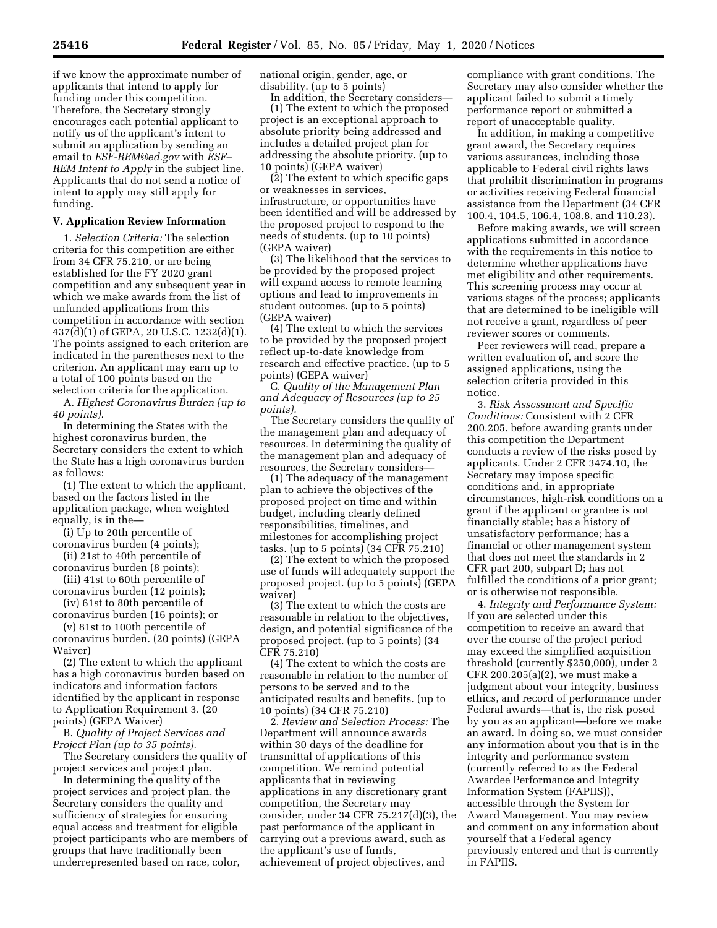if we know the approximate number of applicants that intend to apply for funding under this competition. Therefore, the Secretary strongly encourages each potential applicant to notify us of the applicant's intent to submit an application by sending an email to *[ESF-REM@ed.gov](mailto:ESF-REM@ed.gov)* with *ESF– REM Intent to Apply* in the subject line. Applicants that do not send a notice of intent to apply may still apply for funding.

### **V. Application Review Information**

1. *Selection Criteria:* The selection criteria for this competition are either from 34 CFR 75.210, or are being established for the FY 2020 grant competition and any subsequent year in which we make awards from the list of unfunded applications from this competition in accordance with section 437(d)(1) of GEPA, 20 U.S.C. 1232(d)(1). The points assigned to each criterion are indicated in the parentheses next to the criterion. An applicant may earn up to a total of 100 points based on the selection criteria for the application.

A. *Highest Coronavirus Burden (up to 40 points).* 

In determining the States with the highest coronavirus burden, the Secretary considers the extent to which the State has a high coronavirus burden as follows:

(1) The extent to which the applicant, based on the factors listed in the application package, when weighted equally, is in the—

(i) Up to 20th percentile of coronavirus burden (4 points);

(ii) 21st to 40th percentile of coronavirus burden (8 points);

(iii) 41st to 60th percentile of coronavirus burden (12 points);

(iv) 61st to 80th percentile of

coronavirus burden (16 points); or (v) 81st to 100th percentile of

coronavirus burden. (20 points) (GEPA Waiver)

(2) The extent to which the applicant has a high coronavirus burden based on indicators and information factors identified by the applicant in response to Application Requirement 3. (20 points) (GEPA Waiver)

B. *Quality of Project Services and Project Plan (up to 35 points).* 

The Secretary considers the quality of project services and project plan.

In determining the quality of the project services and project plan, the Secretary considers the quality and sufficiency of strategies for ensuring equal access and treatment for eligible project participants who are members of groups that have traditionally been underrepresented based on race, color,

national origin, gender, age, or disability. (up to 5 points)

In addition, the Secretary considers—

(1) The extent to which the proposed project is an exceptional approach to absolute priority being addressed and includes a detailed project plan for addressing the absolute priority. (up to 10 points) (GEPA waiver)

(2) The extent to which specific gaps or weaknesses in services, infrastructure, or opportunities have been identified and will be addressed by the proposed project to respond to the needs of students. (up to 10 points) (GEPA waiver)

(3) The likelihood that the services to be provided by the proposed project will expand access to remote learning options and lead to improvements in student outcomes. (up to 5 points) (GEPA waiver)

(4) The extent to which the services to be provided by the proposed project reflect up-to-date knowledge from research and effective practice. (up to 5 points) (GEPA waiver)

C. *Quality of the Management Plan and Adequacy of Resources (up to 25 points).* 

The Secretary considers the quality of the management plan and adequacy of resources. In determining the quality of the management plan and adequacy of resources, the Secretary considers—

(1) The adequacy of the management plan to achieve the objectives of the proposed project on time and within budget, including clearly defined responsibilities, timelines, and milestones for accomplishing project tasks. (up to 5 points) (34 CFR 75.210)

(2) The extent to which the proposed use of funds will adequately support the proposed project. (up to 5 points) (GEPA waiver)

(3) The extent to which the costs are reasonable in relation to the objectives, design, and potential significance of the proposed project. (up to 5 points) (34 CFR 75.210)

(4) The extent to which the costs are reasonable in relation to the number of persons to be served and to the anticipated results and benefits. (up to 10 points) (34 CFR 75.210)

2. *Review and Selection Process:* The Department will announce awards within 30 days of the deadline for transmittal of applications of this competition. We remind potential applicants that in reviewing applications in any discretionary grant competition, the Secretary may consider, under 34 CFR 75.217(d)(3), the past performance of the applicant in carrying out a previous award, such as the applicant's use of funds, achievement of project objectives, and

compliance with grant conditions. The Secretary may also consider whether the applicant failed to submit a timely performance report or submitted a report of unacceptable quality.

In addition, in making a competitive grant award, the Secretary requires various assurances, including those applicable to Federal civil rights laws that prohibit discrimination in programs or activities receiving Federal financial assistance from the Department (34 CFR 100.4, 104.5, 106.4, 108.8, and 110.23).

Before making awards, we will screen applications submitted in accordance with the requirements in this notice to determine whether applications have met eligibility and other requirements. This screening process may occur at various stages of the process; applicants that are determined to be ineligible will not receive a grant, regardless of peer reviewer scores or comments.

Peer reviewers will read, prepare a written evaluation of, and score the assigned applications, using the selection criteria provided in this notice.

3. *Risk Assessment and Specific Conditions:* Consistent with 2 CFR 200.205, before awarding grants under this competition the Department conducts a review of the risks posed by applicants. Under 2 CFR 3474.10, the Secretary may impose specific conditions and, in appropriate circumstances, high-risk conditions on a grant if the applicant or grantee is not financially stable; has a history of unsatisfactory performance; has a financial or other management system that does not meet the standards in 2 CFR part 200, subpart D; has not fulfilled the conditions of a prior grant; or is otherwise not responsible.

4. *Integrity and Performance System:*  If you are selected under this competition to receive an award that over the course of the project period may exceed the simplified acquisition threshold (currently \$250,000), under 2 CFR 200.205(a)(2), we must make a judgment about your integrity, business ethics, and record of performance under Federal awards—that is, the risk posed by you as an applicant—before we make an award. In doing so, we must consider any information about you that is in the integrity and performance system (currently referred to as the Federal Awardee Performance and Integrity Information System (FAPIIS)), accessible through the System for Award Management. You may review and comment on any information about yourself that a Federal agency previously entered and that is currently in FAPIIS.